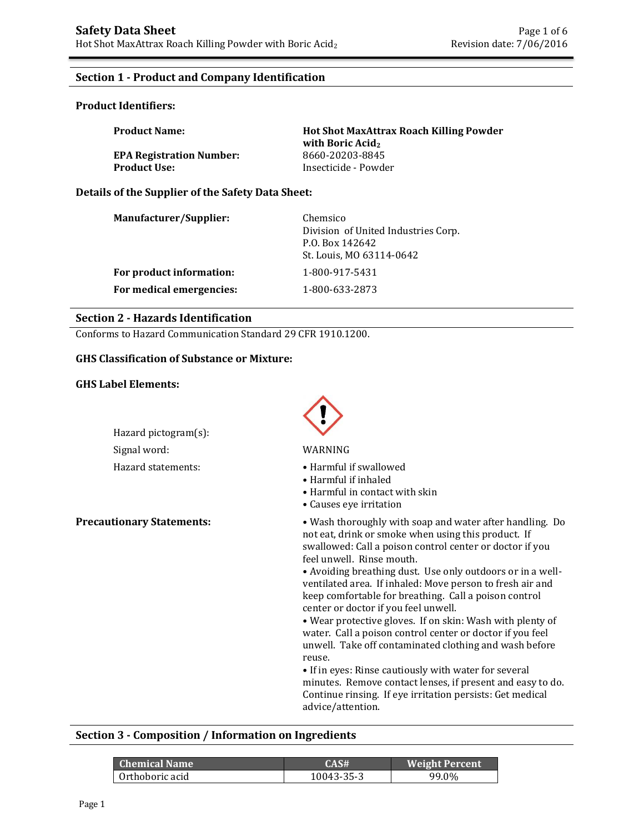## **Section 1 - Product and Company Identification**

#### **Product Identifiers:**

| <b>Product Name:</b>            | <b>Hot Shot MaxAttrax Roach Killing Powder</b><br>with Boric Acid <sub>2</sub> |
|---------------------------------|--------------------------------------------------------------------------------|
| <b>EPA Registration Number:</b> | 8660-20203-8845                                                                |
| <b>Product Use:</b>             | Insecticide - Powder                                                           |

#### **Details of the Supplier of the Safety Data Sheet:**

| <b>Manufacturer/Supplier:</b> | Chemsico<br>Division of United Industries Corp.<br>P.O. Box 142642<br>St. Louis, MO 63114-0642 |
|-------------------------------|------------------------------------------------------------------------------------------------|
| For product information:      | 1-800-917-5431                                                                                 |
| For medical emergencies:      | 1-800-633-2873                                                                                 |

#### **Section 2 - Hazards Identification**

Conforms to Hazard Communication Standard 29 CFR 1910.1200.

#### **GHS Classification of Substance or Mixture:**

#### **GHS Label Elements:**



#### **Section 3 - Composition / Information on Ingredients**

| Chemical Name   | CAS#       | <b>Weight Percent</b> |
|-----------------|------------|-----------------------|
| Orthoboric acid | 10043-35-3 | 99.0%                 |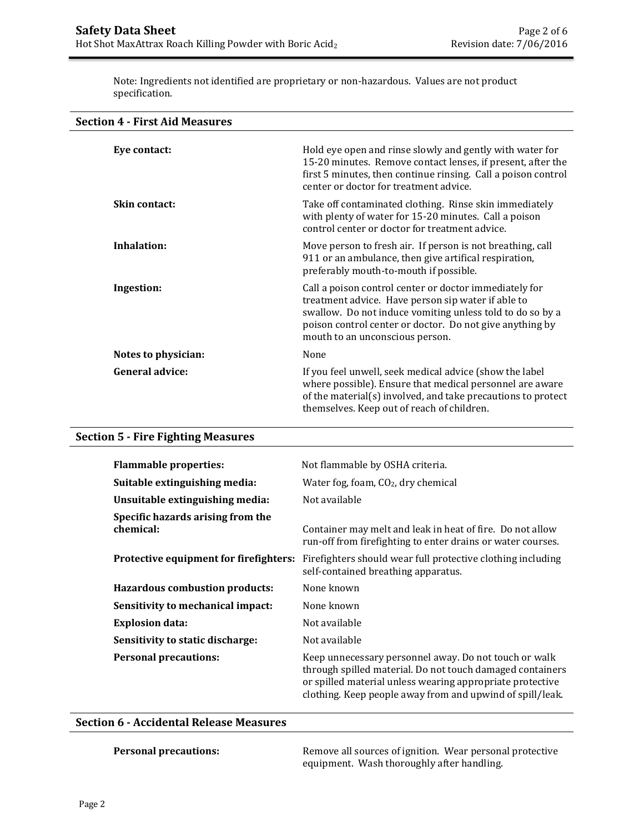Note: Ingredients not identified are proprietary or non-hazardous. Values are not product specification.

| Eye contact:           | Hold eye open and rinse slowly and gently with water for<br>15-20 minutes. Remove contact lenses, if present, after the<br>first 5 minutes, then continue rinsing. Call a poison control<br>center or doctor for treatment advice.                                       |
|------------------------|--------------------------------------------------------------------------------------------------------------------------------------------------------------------------------------------------------------------------------------------------------------------------|
| <b>Skin contact:</b>   | Take off contaminated clothing. Rinse skin immediately<br>with plenty of water for 15-20 minutes. Call a poison<br>control center or doctor for treatment advice.                                                                                                        |
| Inhalation:            | Move person to fresh air. If person is not breathing, call<br>911 or an ambulance, then give artifical respiration,<br>preferably mouth-to-mouth if possible.                                                                                                            |
| Ingestion:             | Call a poison control center or doctor immediately for<br>treatment advice. Have person sip water if able to<br>swallow. Do not induce vomiting unless told to do so by a<br>poison control center or doctor. Do not give anything by<br>mouth to an unconscious person. |
| Notes to physician:    | None                                                                                                                                                                                                                                                                     |
| <b>General advice:</b> | If you feel unwell, seek medical advice (show the label<br>where possible). Ensure that medical personnel are aware<br>of the material(s) involved, and take precautions to protect<br>themselves. Keep out of reach of children.                                        |

# **Section 5 - Fire Fighting Measures**

| <b>Flammable properties:</b>                   | Not flammable by OSHA criteria.                                                                                                                                                                                                              |
|------------------------------------------------|----------------------------------------------------------------------------------------------------------------------------------------------------------------------------------------------------------------------------------------------|
| Suitable extinguishing media:                  | Water fog, foam, $CO2$ , dry chemical                                                                                                                                                                                                        |
| Unsuitable extinguishing media:                | Not available                                                                                                                                                                                                                                |
| Specific hazards arising from the<br>chemical: | Container may melt and leak in heat of fire. Do not allow<br>run-off from firefighting to enter drains or water courses.                                                                                                                     |
| Protective equipment for firefighters:         | Fire fighters should wear full protective clothing including<br>self-contained breathing apparatus.                                                                                                                                          |
| <b>Hazardous combustion products:</b>          | None known                                                                                                                                                                                                                                   |
| Sensitivity to mechanical impact:              | None known                                                                                                                                                                                                                                   |
| <b>Explosion data:</b>                         | Not available                                                                                                                                                                                                                                |
| Sensitivity to static discharge:               | Not available                                                                                                                                                                                                                                |
| <b>Personal precautions:</b>                   | Keep unnecessary personnel away. Do not touch or walk<br>through spilled material. Do not touch damaged containers<br>or spilled material unless wearing appropriate protective<br>clothing. Keep people away from and upwind of spill/leak. |

## **Section 6 - Accidental Release Measures**

**Personal precautions:** Remove all sources of ignition. Wear personal protective equipment. Wash thoroughly after handling.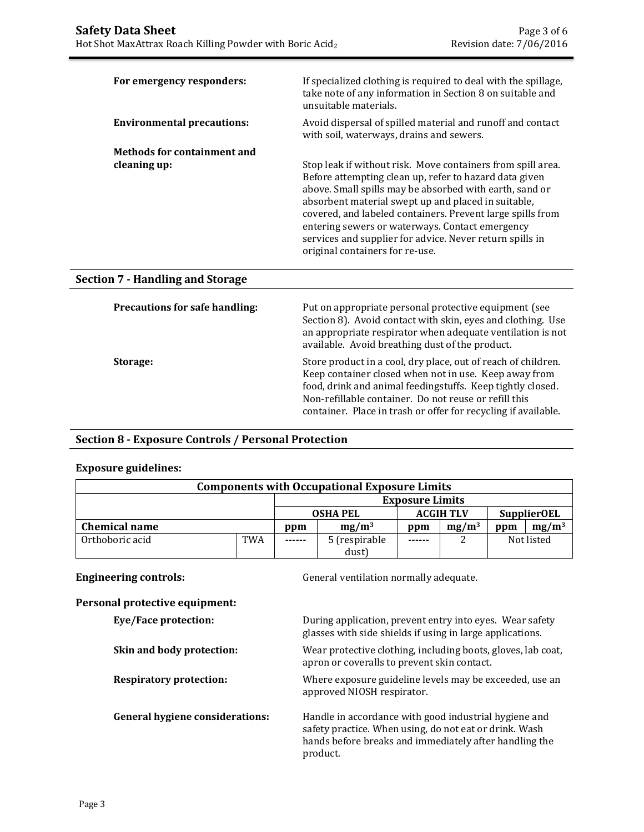| For emergency responders:                          | If specialized clothing is required to deal with the spillage,<br>take note of any information in Section 8 on suitable and<br>unsuitable materials.                                                                                                                                                                                                                                                                                                    |
|----------------------------------------------------|---------------------------------------------------------------------------------------------------------------------------------------------------------------------------------------------------------------------------------------------------------------------------------------------------------------------------------------------------------------------------------------------------------------------------------------------------------|
| <b>Environmental precautions:</b>                  | Avoid dispersal of spilled material and runoff and contact<br>with soil, waterways, drains and sewers.                                                                                                                                                                                                                                                                                                                                                  |
| <b>Methods for containment and</b><br>cleaning up: | Stop leak if without risk. Move containers from spill area.<br>Before attempting clean up, refer to hazard data given<br>above. Small spills may be absorbed with earth, sand or<br>absorbent material swept up and placed in suitable,<br>covered, and labeled containers. Prevent large spills from<br>entering sewers or waterways. Contact emergency<br>services and supplier for advice. Never return spills in<br>original containers for re-use. |
| <b>Section 7 - Handling and Storage</b>            |                                                                                                                                                                                                                                                                                                                                                                                                                                                         |

| <b>Precautions for safe handling:</b> | Put on appropriate personal protective equipment (see<br>Section 8). Avoid contact with skin, eyes and clothing. Use<br>an appropriate respirator when adequate ventilation is not<br>available. Avoid breathing dust of the product.                                                                           |
|---------------------------------------|-----------------------------------------------------------------------------------------------------------------------------------------------------------------------------------------------------------------------------------------------------------------------------------------------------------------|
| Storage:                              | Store product in a cool, dry place, out of reach of children.<br>Keep container closed when not in use. Keep away from<br>food, drink and animal feedingstuffs. Keep tightly closed.<br>Non-refillable container. Do not reuse or refill this<br>container. Place in trash or offer for recycling if available. |

## **Section 8 - Exposure Controls / Personal Protection**

## **Exposure guidelines:**

| <b>Components with Occupational Exposure Limits</b> |     |                                                           |               |                        |          |            |          |
|-----------------------------------------------------|-----|-----------------------------------------------------------|---------------|------------------------|----------|------------|----------|
|                                                     |     |                                                           |               | <b>Exposure Limits</b> |          |            |          |
|                                                     |     | <b>SupplierOEL</b><br><b>ACGIH TLV</b><br><b>OSHA PEL</b> |               |                        |          |            |          |
| <b>Chemical name</b>                                |     | ppm                                                       | $mg/m^3$      | ppm                    | $mg/m^3$ | ppm        | $mg/m^3$ |
| Orthoboric acid                                     | TWA | ------                                                    | 5 (respirable | ------                 |          | Not listed |          |
|                                                     |     |                                                           | dust)         |                        |          |            |          |

**Engineering controls:** General ventilation normally adequate.

# **Personal protective equipment:**

| Eye/Face protection:                   | During application, prevent entry into eyes. Wear safety<br>glasses with side shields if using in large applications.                                                                 |
|----------------------------------------|---------------------------------------------------------------------------------------------------------------------------------------------------------------------------------------|
| Skin and body protection:              | Wear protective clothing, including boots, gloves, lab coat,<br>apron or coveralls to prevent skin contact.                                                                           |
| <b>Respiratory protection:</b>         | Where exposure guideline levels may be exceeded, use an<br>approved NIOSH respirator.                                                                                                 |
| <b>General hygiene considerations:</b> | Handle in accordance with good industrial hygiene and<br>safety practice. When using, do not eat or drink. Wash<br>hands before breaks and immediately after handling the<br>product. |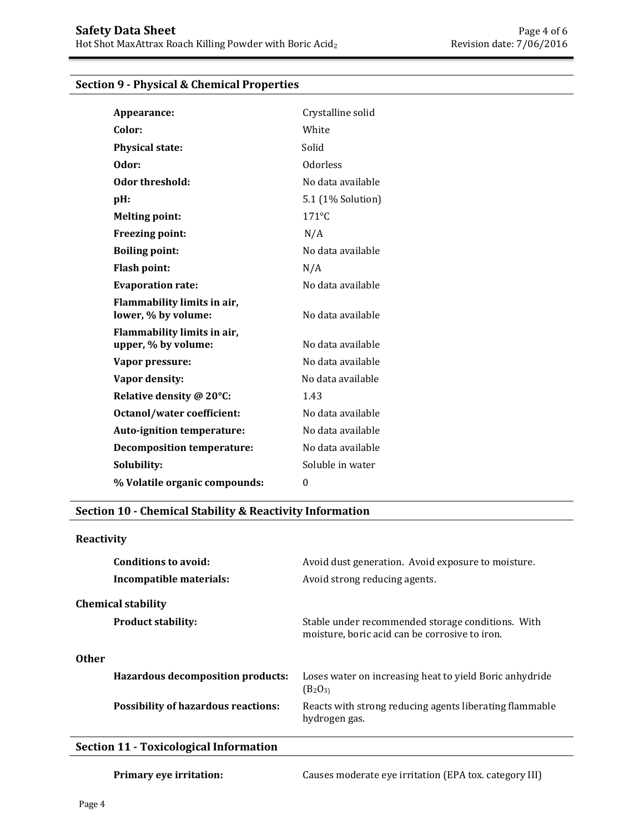#### **Section 9 - Physical & Chemical Properties**

| Appearance:                                        | Crystalline solid |
|----------------------------------------------------|-------------------|
| Color:                                             | White             |
| <b>Physical state:</b>                             | Solid             |
| Odor:                                              | <b>Odorless</b>   |
| Odor threshold:                                    | No data available |
| pH:                                                | 5.1 (1% Solution) |
| <b>Melting point:</b>                              | $171^{\circ}$ C   |
| <b>Freezing point:</b>                             | N/A               |
| <b>Boiling point:</b>                              | No data available |
| <b>Flash point:</b>                                | N/A               |
| <b>Evaporation rate:</b>                           | No data available |
| Flammability limits in air,<br>lower, % by volume: | No data available |
| Flammability limits in air,<br>upper, % by volume: | No data available |
| Vapor pressure:                                    | No data available |
| Vapor density:                                     | No data available |
| Relative density @ 20°C:                           | 1.43              |
| Octanol/water coefficient:                         | No data available |
| <b>Auto-ignition temperature:</b>                  | No data available |
| <b>Decomposition temperature:</b>                  | No data available |
| Solubility:                                        | Soluble in water  |
| % Volatile organic compounds:                      | $\theta$          |

### **Section 10 - Chemical Stability & Reactivity Information**

#### **Reactivity**

|              | Conditions to avoid:<br>Incompatible materials: | Avoid dust generation. Avoid exposure to moisture.<br>Avoid strong reducing agents.                 |
|--------------|-------------------------------------------------|-----------------------------------------------------------------------------------------------------|
|              | <b>Chemical stability</b>                       |                                                                                                     |
|              | <b>Product stability:</b>                       | Stable under recommended storage conditions. With<br>moisture, boric acid can be corrosive to iron. |
| <b>Other</b> |                                                 |                                                                                                     |
|              | Hazardous decomposition products:               | Loses water on increasing heat to yield Boric anhydride<br>$(B_2O_{31})$                            |
|              | <b>Possibility of hazardous reactions:</b>      | Reacts with strong reducing agents liberating flammable<br>hydrogen gas.                            |

# **Section 11 - Toxicological Information**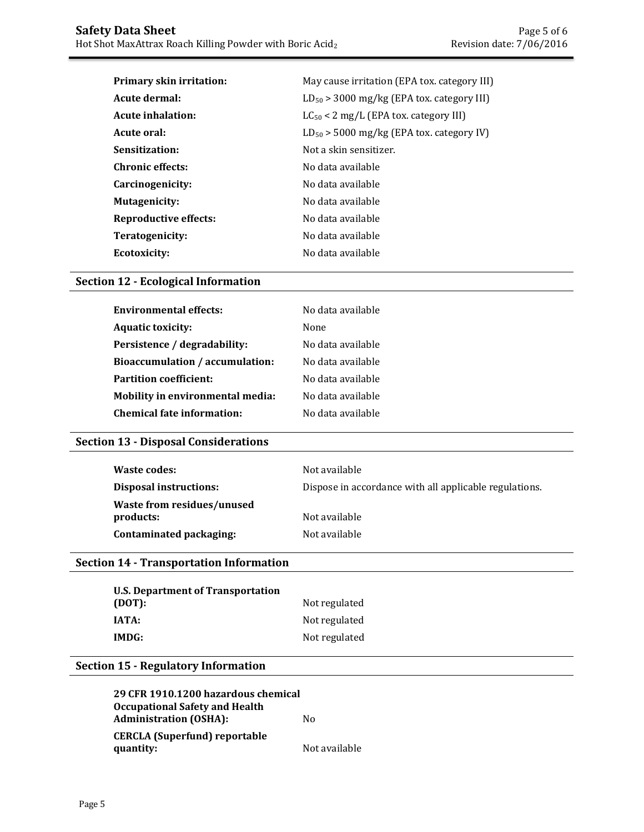| <b>Primary skin irritation:</b> | May cause irritation (EPA tox. category III)   |  |  |
|---------------------------------|------------------------------------------------|--|--|
| Acute dermal:                   | $LD_{50}$ > 3000 mg/kg (EPA tox. category III) |  |  |
| Acute inhalation:               | $LC_{50}$ < 2 mg/L (EPA tox. category III)     |  |  |
| Acute oral:                     | $LD_{50}$ > 5000 mg/kg (EPA tox. category IV)  |  |  |
| Sensitization:                  | Not a skin sensitizer.                         |  |  |
| <b>Chronic effects:</b>         | No data available                              |  |  |
| Carcinogenicity:                | No data available                              |  |  |
| <b>Mutagenicity:</b>            | No data available                              |  |  |
| Reproductive effects:           | No data available                              |  |  |
| Teratogenicity:                 | No data available                              |  |  |
| Ecotoxicity:                    | No data available                              |  |  |

# **Section 12 - Ecological Information**

| <b>Environmental effects:</b>     | No data available |
|-----------------------------------|-------------------|
| <b>Aquatic toxicity:</b>          | None              |
| Persistence / degradability:      | No data available |
| Bioaccumulation / accumulation:   | No data available |
| <b>Partition coefficient:</b>     | No data available |
| Mobility in environmental media:  | No data available |
| <b>Chemical fate information:</b> | No data available |
|                                   |                   |

# **Section 13 - Disposal Considerations**

| Waste codes:                            | Not available                                          |
|-----------------------------------------|--------------------------------------------------------|
| <b>Disposal instructions:</b>           | Dispose in accordance with all applicable regulations. |
| Waste from residues/unused<br>products: | Not available                                          |
| Contaminated packaging:                 | Not available                                          |

# **Section 14 - Transportation Information**

| <b>U.S. Department of Transportation</b> |               |
|------------------------------------------|---------------|
| (DOT):                                   | Not regulated |
| IATA:                                    | Not regulated |
| IMDG:                                    | Not regulated |

# **Section 15 - Regulatory Information**

| 29 CFR 1910.1200 hazardous chemical |               |
|-------------------------------------|---------------|
| Occupational Safety and Health      |               |
| <b>Administration (OSHA):</b>       | Nο            |
| CERCLA (Superfund) reportable       |               |
| quantity:                           | Not available |